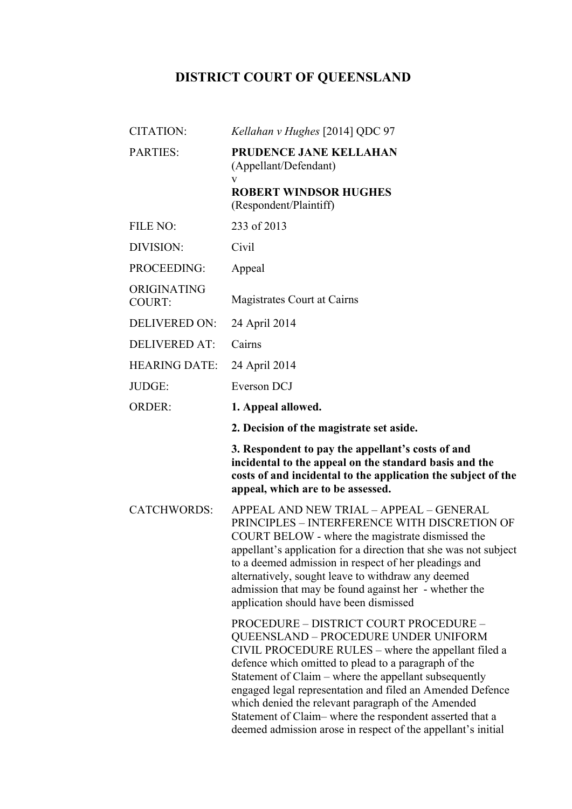## **DISTRICT COURT OF QUEENSLAND**

| <b>CITATION:</b>             | Kellahan v Hughes [2014] QDC 97                                                                                                                                                                                                                                                                                                                                                                                                                                                                      |
|------------------------------|------------------------------------------------------------------------------------------------------------------------------------------------------------------------------------------------------------------------------------------------------------------------------------------------------------------------------------------------------------------------------------------------------------------------------------------------------------------------------------------------------|
| PARTIES:                     | PRUDENCE JANE KELLAHAN<br>(Appellant/Defendant)<br>V<br><b>ROBERT WINDSOR HUGHES</b>                                                                                                                                                                                                                                                                                                                                                                                                                 |
|                              | (Respondent/Plaintiff)                                                                                                                                                                                                                                                                                                                                                                                                                                                                               |
| FILE NO:                     | 233 of 2013                                                                                                                                                                                                                                                                                                                                                                                                                                                                                          |
| DIVISION:                    | Civil                                                                                                                                                                                                                                                                                                                                                                                                                                                                                                |
| PROCEEDING:                  | Appeal                                                                                                                                                                                                                                                                                                                                                                                                                                                                                               |
| ORIGINATING<br><b>COURT:</b> | Magistrates Court at Cairns                                                                                                                                                                                                                                                                                                                                                                                                                                                                          |
| <b>DELIVERED ON:</b>         | 24 April 2014                                                                                                                                                                                                                                                                                                                                                                                                                                                                                        |
| <b>DELIVERED AT:</b>         | Cairns                                                                                                                                                                                                                                                                                                                                                                                                                                                                                               |
| <b>HEARING DATE:</b>         | 24 April 2014                                                                                                                                                                                                                                                                                                                                                                                                                                                                                        |
| JUDGE:                       | Everson DCJ                                                                                                                                                                                                                                                                                                                                                                                                                                                                                          |
| <b>ORDER:</b>                | 1. Appeal allowed.                                                                                                                                                                                                                                                                                                                                                                                                                                                                                   |
|                              | 2. Decision of the magistrate set aside.                                                                                                                                                                                                                                                                                                                                                                                                                                                             |
|                              | 3. Respondent to pay the appellant's costs of and<br>incidental to the appeal on the standard basis and the<br>costs of and incidental to the application the subject of the<br>appeal, which are to be assessed.                                                                                                                                                                                                                                                                                    |
| <b>CATCHWORDS:</b>           | APPEAL AND NEW TRIAL - APPEAL - GENERAL<br>PRINCIPLES - INTERFERENCE WITH DISCRETION OF<br>COURT BELOW - where the magistrate dismissed the<br>appellant's application for a direction that she was not subject<br>to a deemed admission in respect of her pleadings and<br>alternatively, sought leave to withdraw any deemed<br>admission that may be found against her - whether the<br>application should have been dismissed                                                                    |
|                              | PROCEDURE - DISTRICT COURT PROCEDURE -<br>QUEENSLAND - PROCEDURE UNDER UNIFORM<br>CIVIL PROCEDURE RULES – where the appellant filed a<br>defence which omitted to plead to a paragraph of the<br>Statement of Claim – where the appellant subsequently<br>engaged legal representation and filed an Amended Defence<br>which denied the relevant paragraph of the Amended<br>Statement of Claim-where the respondent asserted that a<br>deemed admission arose in respect of the appellant's initial |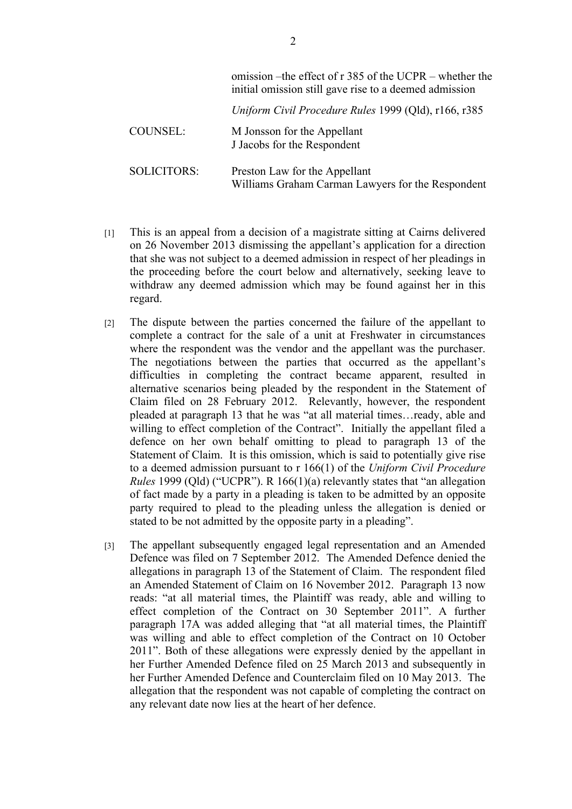|                    | omission – the effect of r 385 of the UCPR – whether the<br>initial omission still gave rise to a deemed admission |
|--------------------|--------------------------------------------------------------------------------------------------------------------|
|                    | Uniform Civil Procedure Rules 1999 (Qld), r166, r385                                                               |
| COUNSEL:           | M Jonsson for the Appellant<br>J Jacobs for the Respondent                                                         |
| <b>SOLICITORS:</b> | Preston Law for the Appellant<br>Williams Graham Carman Lawyers for the Respondent                                 |

- [1] This is an appeal from a decision of a magistrate sitting at Cairns delivered on 26 November 2013 dismissing the appellant's application for a direction that she was not subject to a deemed admission in respect of her pleadings in the proceeding before the court below and alternatively, seeking leave to withdraw any deemed admission which may be found against her in this regard.
- [2] The dispute between the parties concerned the failure of the appellant to complete a contract for the sale of a unit at Freshwater in circumstances where the respondent was the vendor and the appellant was the purchaser. The negotiations between the parties that occurred as the appellant's difficulties in completing the contract became apparent, resulted in alternative scenarios being pleaded by the respondent in the Statement of Claim filed on 28 February 2012. Relevantly, however, the respondent pleaded at paragraph 13 that he was "at all material times…ready, able and willing to effect completion of the Contract". Initially the appellant filed a defence on her own behalf omitting to plead to paragraph 13 of the Statement of Claim. It is this omission, which is said to potentially give rise to a deemed admission pursuant to r 166(1) of the *Uniform Civil Procedure Rules* 1999 (Qld) ("UCPR"). R 166(1)(a) relevantly states that "an allegation of fact made by a party in a pleading is taken to be admitted by an opposite party required to plead to the pleading unless the allegation is denied or stated to be not admitted by the opposite party in a pleading".
- [3] The appellant subsequently engaged legal representation and an Amended Defence was filed on 7 September 2012. The Amended Defence denied the allegations in paragraph 13 of the Statement of Claim. The respondent filed an Amended Statement of Claim on 16 November 2012. Paragraph 13 now reads: "at all material times, the Plaintiff was ready, able and willing to effect completion of the Contract on 30 September 2011". A further paragraph 17A was added alleging that "at all material times, the Plaintiff was willing and able to effect completion of the Contract on 10 October 2011". Both of these allegations were expressly denied by the appellant in her Further Amended Defence filed on 25 March 2013 and subsequently in her Further Amended Defence and Counterclaim filed on 10 May 2013. The allegation that the respondent was not capable of completing the contract on any relevant date now lies at the heart of her defence.